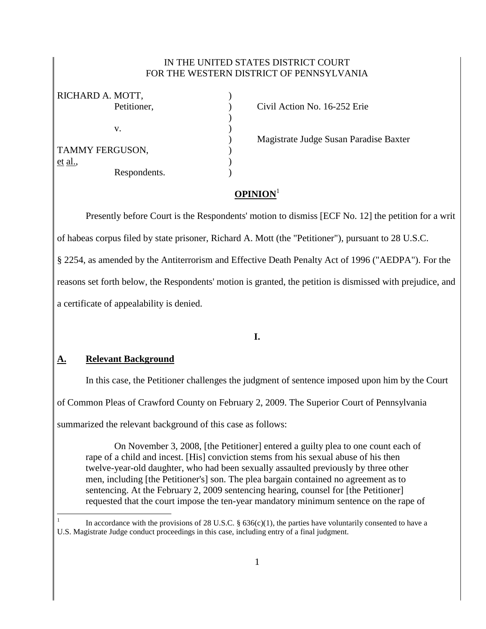## IN THE UNITED STATES DISTRICT COURT FOR THE WESTERN DISTRICT OF PENNSYLVANIA

| RICHARD A. MOTT, |              |  |
|------------------|--------------|--|
|                  | Petitioner,  |  |
|                  |              |  |
|                  | V.           |  |
|                  |              |  |
| TAMMY FERGUSON,  |              |  |
| et al.,          |              |  |
|                  | Respondents. |  |

Civil Action No. 16-252 Erie

) Magistrate Judge Susan Paradise Baxter

# **OPINION**<sup>1</sup>

Presently before Court is the Respondents' motion to dismiss [ECF No. 12] the petition for a writ

of habeas corpus filed by state prisoner, Richard A. Mott (the "Petitioner"), pursuant to 28 U.S.C.

§ 2254, as amended by the Antiterrorism and Effective Death Penalty Act of 1996 ("AEDPA"). For the

reasons set forth below, the Respondents' motion is granted, the petition is dismissed with prejudice, and

a certificate of appealability is denied.

**I.**

# **A. Relevant Background**

 $\overline{a}$ 

In this case, the Petitioner challenges the judgment of sentence imposed upon him by the Court

of Common Pleas of Crawford County on February 2, 2009. The Superior Court of Pennsylvania

summarized the relevant background of this case as follows:

On November 3, 2008, [the Petitioner] entered a guilty plea to one count each of rape of a child and incest. [His] conviction stems from his sexual abuse of his then twelve-year-old daughter, who had been sexually assaulted previously by three other men, including [the Petitioner's] son. The plea bargain contained no agreement as to sentencing. At the February 2, 2009 sentencing hearing, counsel for [the Petitioner] requested that the court impose the ten-year mandatory minimum sentence on the rape of

<sup>1</sup> In accordance with the provisions of 28 U.S.C.  $\S 636(c)(1)$ , the parties have voluntarily consented to have a U.S. Magistrate Judge conduct proceedings in this case, including entry of a final judgment.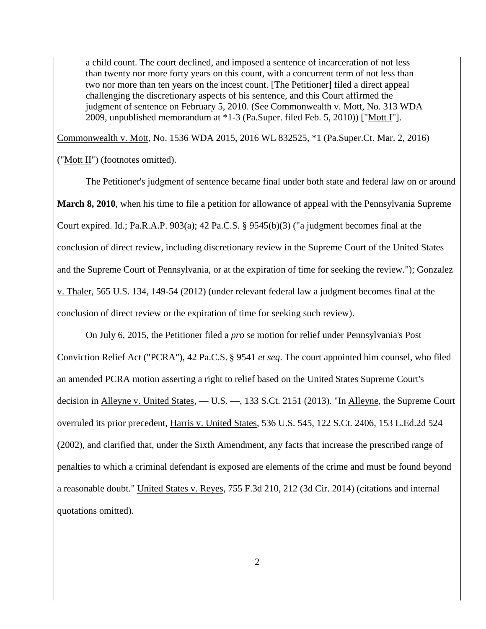a child count. The court declined, and imposed a sentence of incarceration of not less than twenty nor more forty years on this count, with a concurrent term of not less than two nor more than ten years on the incest count. [The Petitioner] filed a direct appeal challenging the discretionary aspects of his sentence, and this Court affirmed the judgment of sentence on February 5, 2010. (See Commonwealth v. Mott, No. 313 WDA 2009, unpublished memorandum at \*1-3 (Pa.Super. filed Feb. 5, 2010)) ["Mott I"].

Commonwealth v. Mott, No. 1536 WDA 2015, 2016 WL 832525, \*1 (Pa.Super.Ct. Mar. 2, 2016)

("Mott II") (footnotes omitted).

The Petitioner's judgment of sentence became final under both state and federal law on or around **March 8, 2010**, when his time to file a petition for allowance of appeal with the Pennsylvania Supreme Court expired. Id.; Pa.R.A.P. 903(a); 42 Pa.C.S. § 9545(b)(3) ("a judgment becomes final at the conclusion of direct review, including discretionary review in the Supreme Court of the United States and the Supreme Court of Pennsylvania, or at the expiration of time for seeking the review."); Gonzalez v. Thaler, 565 U.S. 134, 149-54 (2012) (under relevant federal law a judgment becomes final at the conclusion of direct review or the expiration of time for seeking such review).

On July 6, 2015, the Petitioner filed a *pro se* motion for relief under Pennsylvania's Post Conviction Relief Act ("PCRA"), 42 Pa.C.S. § 9541 *et seq*. The court appointed him counsel, who filed an amended PCRA motion asserting a right to relief based on the United States Supreme Court's decision in Alleyne v. United States, - U.S. -, 133 S.Ct. 2151 (2013). "In Alleyne, the Supreme Court overruled its prior precedent, Harris v. United States, 536 U.S. 545, 122 S.Ct. 2406, 153 L.Ed.2d 524 (2002), and clarified that, under the Sixth Amendment, any facts that increase the prescribed range of penalties to which a criminal defendant is exposed are elements of the crime and must be found beyond a reasonable doubt." United States v. Reyes, 755 F.3d 210, 212 (3d Cir. 2014) (citations and internal quotations omitted).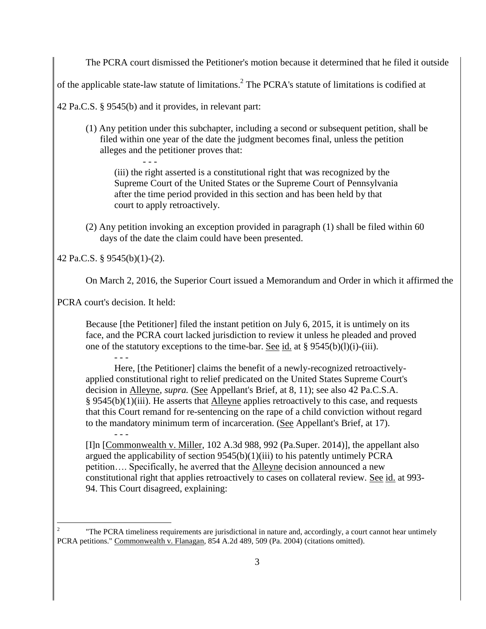The PCRA court dismissed the Petitioner's motion because it determined that he filed it outside

of the applicable state-law statute of limitations.<sup>2</sup> The PCRA's statute of limitations is codified at

42 Pa.C.S. § 9545(b) and it provides, in relevant part:

(1) Any petition under this subchapter, including a second or subsequent petition, shall be filed within one year of the date the judgment becomes final, unless the petition alleges and the petitioner proves that:

- - - (iii) the right asserted is a constitutional right that was recognized by the Supreme Court of the United States or the Supreme Court of Pennsylvania after the time period provided in this section and has been held by that court to apply retroactively.

(2) Any petition invoking an exception provided in paragraph (1) shall be filed within 60 days of the date the claim could have been presented.

42 Pa.C.S. § 9545(b)(1)-(2).

On March 2, 2016, the Superior Court issued a Memorandum and Order in which it affirmed the

PCRA court's decision. It held:

Because [the Petitioner] filed the instant petition on July 6, 2015, it is untimely on its face, and the PCRA court lacked jurisdiction to review it unless he pleaded and proved one of the statutory exceptions to the time-bar. See id. at § 9545(b)(l)(i)-(iii).

Here, [the Petitioner] claims the benefit of a newly-recognized retroactivelyapplied constitutional right to relief predicated on the United States Supreme Court's decision in Alleyne, *supra.* (See Appellant's Brief, at 8, 11); see also 42 Pa.C.S.A. § 9545(b)(1)(iii). He asserts that Alleyne applies retroactively to this case, and requests that this Court remand for re-sentencing on the rape of a child conviction without regard to the mandatory minimum term of incarceration. (See Appellant's Brief, at 17).

[I]n [Commonwealth v. Miller, 102 A.3d 988, 992 (Pa.Super. 2014)], the appellant also argued the applicability of section  $9545(b)(1)(iii)$  to his patently untimely PCRA petition…. Specifically, he averred that the Alleyne decision announced a new constitutional right that applies retroactively to cases on collateral review. See id. at 993- 94. This Court disagreed, explaining:

 $\overline{a}$ 2 "The PCRA timeliness requirements are jurisdictional in nature and, accordingly, a court cannot hear untimely PCRA petitions." Commonwealth v. Flanagan, 854 A.2d 489, 509 (Pa. 2004) (citations omitted).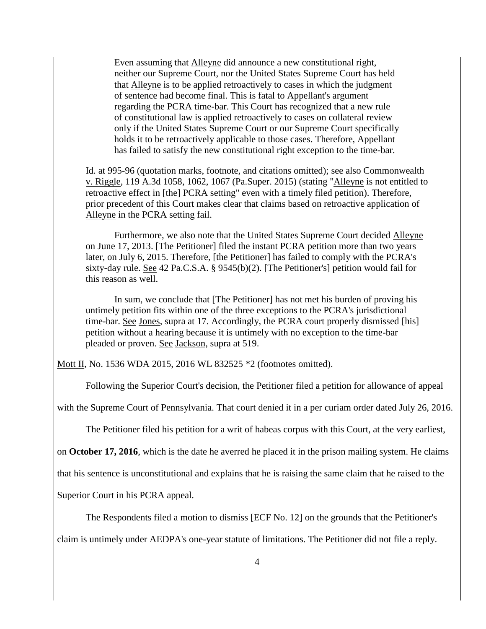Even assuming that Alleyne did announce a new constitutional right, neither our Supreme Court, nor the United States Supreme Court has held that Alleyne is to be applied retroactively to cases in which the judgment of sentence had become final. This is fatal to Appellant's argument regarding the PCRA time-bar. This Court has recognized that a new rule of constitutional law is applied retroactively to cases on collateral review only if the United States Supreme Court or our Supreme Court specifically holds it to be retroactively applicable to those cases. Therefore, Appellant has failed to satisfy the new constitutional right exception to the time-bar.

Id. at 995-96 (quotation marks, footnote, and citations omitted); see also Commonwealth v. Riggle, 119 A.3d 1058, 1062, 1067 (Pa.Super. 2015) (stating "Alleyne is not entitled to retroactive effect in [the] PCRA setting" even with a timely filed petition). Therefore, prior precedent of this Court makes clear that claims based on retroactive application of Alleyne in the PCRA setting fail.

Furthermore, we also note that the United States Supreme Court decided Alleyne on June 17, 2013. [The Petitioner] filed the instant PCRA petition more than two years later, on July 6, 2015. Therefore, [the Petitioner] has failed to comply with the PCRA's sixty-day rule. See 42 Pa.C.S.A. § 9545(b)(2). [The Petitioner's] petition would fail for this reason as well.

In sum, we conclude that [The Petitioner] has not met his burden of proving his untimely petition fits within one of the three exceptions to the PCRA's jurisdictional time-bar. See Jones, supra at 17. Accordingly, the PCRA court properly dismissed [his] petition without a hearing because it is untimely with no exception to the time-bar pleaded or proven. See Jackson, supra at 519.

Mott II, No. 1536 WDA 2015, 2016 WL 832525 \*2 (footnotes omitted).

Following the Superior Court's decision, the Petitioner filed a petition for allowance of appeal

with the Supreme Court of Pennsylvania. That court denied it in a per curiam order dated July 26, 2016.

The Petitioner filed his petition for a writ of habeas corpus with this Court, at the very earliest,

on **October 17, 2016**, which is the date he averred he placed it in the prison mailing system. He claims

that his sentence is unconstitutional and explains that he is raising the same claim that he raised to the

Superior Court in his PCRA appeal.

The Respondents filed a motion to dismiss [ECF No. 12] on the grounds that the Petitioner's

claim is untimely under AEDPA's one-year statute of limitations. The Petitioner did not file a reply.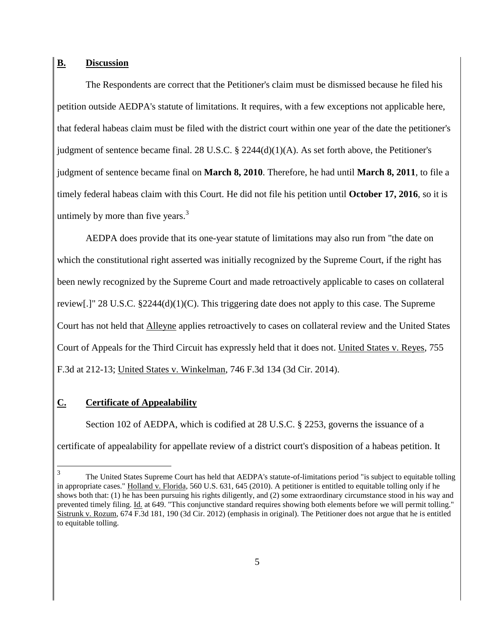#### **B. Discussion**

The Respondents are correct that the Petitioner's claim must be dismissed because he filed his petition outside AEDPA's statute of limitations. It requires, with a few exceptions not applicable here, that federal habeas claim must be filed with the district court within one year of the date the petitioner's judgment of sentence became final. 28 U.S.C.  $\S$  2244(d)(1)(A). As set forth above, the Petitioner's judgment of sentence became final on **March 8, 2010**. Therefore, he had until **March 8, 2011**, to file a timely federal habeas claim with this Court. He did not file his petition until **October 17, 2016**, so it is untimely by more than five years.<sup>3</sup>

AEDPA does provide that its one-year statute of limitations may also run from "the date on which the constitutional right asserted was initially recognized by the Supreme Court, if the right has been newly recognized by the Supreme Court and made retroactively applicable to cases on collateral review[.]" 28 U.S.C. §2244(d)(1)(C). This triggering date does not apply to this case. The Supreme Court has not held that Alleyne applies retroactively to cases on collateral review and the United States Court of Appeals for the Third Circuit has expressly held that it does not. United States v. Reyes, 755 F.3d at 212-13; United States v. Winkelman, 746 F.3d 134 (3d Cir. 2014).

#### **C. Certificate of Appealability**

Section 102 of AEDPA, which is codified at 28 U.S.C. § 2253, governs the issuance of a certificate of appealability for appellate review of a district court's disposition of a habeas petition. It

 $\frac{1}{3}$ The United States Supreme Court has held that AEDPA's statute-of-limitations period "is subject to equitable tolling in appropriate cases." Holland v. Florida, 560 U.S. 631, 645 (2010). A petitioner is entitled to equitable tolling only if he shows both that: (1) he has been pursuing his rights diligently, and (2) some extraordinary circumstance stood in his way and prevented timely filing. Id. at 649. "This conjunctive standard requires showing both elements before we will permit tolling." Sistrunk v. Rozum, 674 F.3d 181, 190 (3d Cir. 2012) (emphasis in original). The Petitioner does not argue that he is entitled to equitable tolling.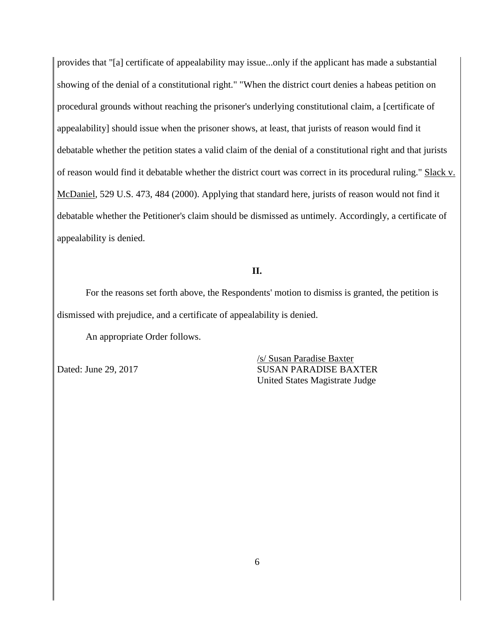provides that "[a] certificate of appealability may issue...only if the applicant has made a substantial showing of the denial of a constitutional right." "When the district court denies a habeas petition on procedural grounds without reaching the prisoner's underlying constitutional claim, a [certificate of appealability] should issue when the prisoner shows, at least, that jurists of reason would find it debatable whether the petition states a valid claim of the denial of a constitutional right and that jurists of reason would find it debatable whether the district court was correct in its procedural ruling." Slack v. McDaniel, 529 U.S. 473, 484 (2000). Applying that standard here, jurists of reason would not find it debatable whether the Petitioner's claim should be dismissed as untimely. Accordingly, a certificate of appealability is denied.

## **II.**

For the reasons set forth above, the Respondents' motion to dismiss is granted, the petition is dismissed with prejudice, and a certificate of appealability is denied.

An appropriate Order follows.

/s/ Susan Paradise Baxter Dated: June 29, 2017 SUSAN PARADISE BAXTER United States Magistrate Judge